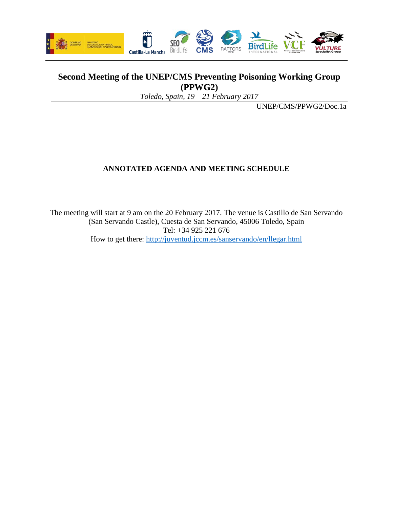

## **Second Meeting of the UNEP/CMS Preventing Poisoning Working Group (PPWG2)**

*Toledo, Spain, 19 – 21 February 2017*

UNEP/CMS/PPWG2/Doc.1a

## **ANNOTATED AGENDA AND MEETING SCHEDULE**

The meeting will start at 9 am on the 20 February 2017. The venue is Castillo de San Servando (San Servando Castle), Cuesta de San Servando, 45006 Toledo, Spain Tel: +34 925 221 676 How to get there:<http://juventud.jccm.es/sanservando/en/llegar.html>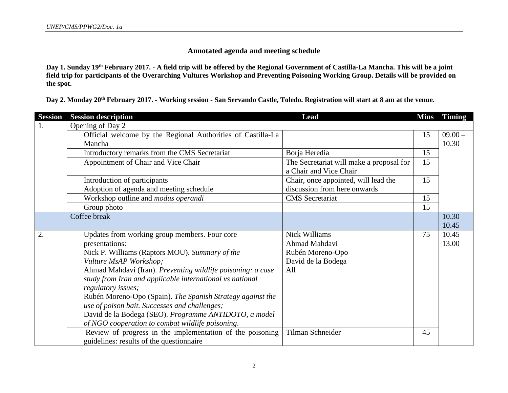## **Annotated agenda and meeting schedule**

**Day 1. Sunday 19th February 2017. - A field trip will be offered by the Regional Government of Castilla-La Mancha. This will be a joint field trip for participants of the Overarching Vultures Workshop and Preventing Poisoning Working Group. Details will be provided on the spot.**

**Day 2. Monday 20th February 2017. - Working session - San Servando Castle, Toledo. Registration will start at 8 am at the venue.**

| <b>Session</b> | <b>Session description</b>                                  | <b>Lead</b>                              | <b>Mins</b> | <b>Timing</b> |
|----------------|-------------------------------------------------------------|------------------------------------------|-------------|---------------|
| 1.             | Opening of Day 2                                            |                                          |             |               |
|                | Official welcome by the Regional Authorities of Castilla-La |                                          | 15          | $09.00 -$     |
|                | Mancha                                                      |                                          |             | 10.30         |
|                | Introductory remarks from the CMS Secretariat               | Borja Heredia                            | 15          |               |
|                | Appointment of Chair and Vice Chair                         | The Secretariat will make a proposal for | 15          |               |
|                |                                                             | a Chair and Vice Chair                   |             |               |
|                | Introduction of participants                                | Chair, once appointed, will lead the     | 15          |               |
|                | Adoption of agenda and meeting schedule                     | discussion from here onwards             |             |               |
|                | Workshop outline and modus operandi                         | <b>CMS</b> Secretariat                   | 15          |               |
|                | Group photo                                                 |                                          | 15          |               |
|                | Coffee break                                                |                                          |             | $10.30 -$     |
|                |                                                             |                                          |             | 10.45         |
| 2.             | Updates from working group members. Four core               | <b>Nick Williams</b>                     | 75          | $10.45-$      |
|                | presentations:                                              | Ahmad Mahdavi                            |             | 13.00         |
|                | Nick P. Williams (Raptors MOU). Summary of the              | Rubén Moreno-Opo                         |             |               |
|                | Vulture MsAP Workshop;                                      | David de la Bodega                       |             |               |
|                | Ahmad Mahdavi (Iran). Preventing wildlife poisoning: a case | All                                      |             |               |
|                | study from Iran and applicable international vs national    |                                          |             |               |
|                | regulatory issues;                                          |                                          |             |               |
|                | Rubén Moreno-Opo (Spain). The Spanish Strategy against the  |                                          |             |               |
|                | use of poison bait. Successes and challenges;               |                                          |             |               |
|                | David de la Bodega (SEO). Programme ANTIDOTO, a model       |                                          |             |               |
|                | of NGO cooperation to combat wildlife poisoning.            |                                          |             |               |
|                | Review of progress in the implementation of the poisoning   | Tilman Schneider                         | 45          |               |
|                | guidelines: results of the questionnaire                    |                                          |             |               |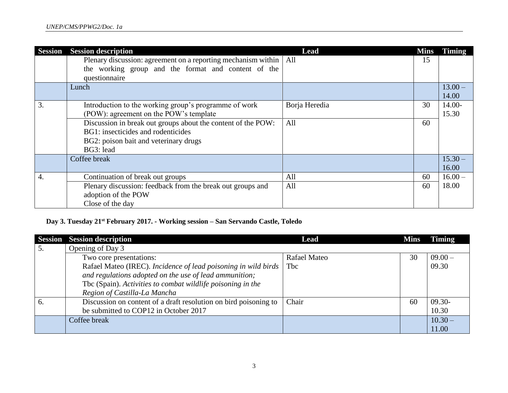| <b>Session</b> | <b>Session description</b>                                    | Lead          | <b>Mins</b> | <b>Timing</b> |
|----------------|---------------------------------------------------------------|---------------|-------------|---------------|
|                | Plenary discussion: agreement on a reporting mechanism within | All           | 15          |               |
|                | the working group and the format and content of the           |               |             |               |
|                | questionnaire                                                 |               |             |               |
|                | Lunch                                                         |               |             | $13.00 -$     |
|                |                                                               |               |             | 14.00         |
| 3.             | Introduction to the working group's programme of work         | Borja Heredia | 30          | $14.00-$      |
|                | (POW): agreement on the POW's template                        |               |             | 15.30         |
|                | Discussion in break out groups about the content of the POW:  | All           | 60          |               |
|                | BG1: insecticides and rodenticides                            |               |             |               |
|                | BG2: poison bait and veterinary drugs                         |               |             |               |
|                | BG3: lead                                                     |               |             |               |
|                | Coffee break                                                  |               |             | $15.30 -$     |
|                |                                                               |               |             | 16.00         |
| 4.             | Continuation of break out groups                              | All           | 60          | $16.00 -$     |
|                | Plenary discussion: feedback from the break out groups and    | All           | 60          | 18.00         |
|                | adoption of the POW                                           |               |             |               |
|                | Close of the day                                              |               |             |               |

## **Day 3. Tuesday 21st February 2017. - Working session – San Servando Castle, Toledo**

|    | <b>Session Session description</b>                               | Lead         | <b>Mins</b> | Timing    |
|----|------------------------------------------------------------------|--------------|-------------|-----------|
| 5. | Opening of Day 3                                                 |              |             |           |
|    | Two core presentations:                                          | Rafael Mateo | 30          | $09.00 -$ |
|    | Rafael Mateo (IREC). Incidence of lead poisoning in wild birds   | Tbc          |             | 09.30     |
|    | and regulations adopted on the use of lead ammunition;           |              |             |           |
|    | Tbc (Spain). Activities to combat wildlife poisoning in the      |              |             |           |
|    | Region of Castilla-La Mancha                                     |              |             |           |
| 6. | Discussion on content of a draft resolution on bird poisoning to | Chair        | 60          | $09.30 -$ |
|    | be submitted to COP12 in October 2017                            |              |             | 10.30     |
|    | Coffee break                                                     |              |             | $10.30 -$ |
|    |                                                                  |              |             | 11.00     |